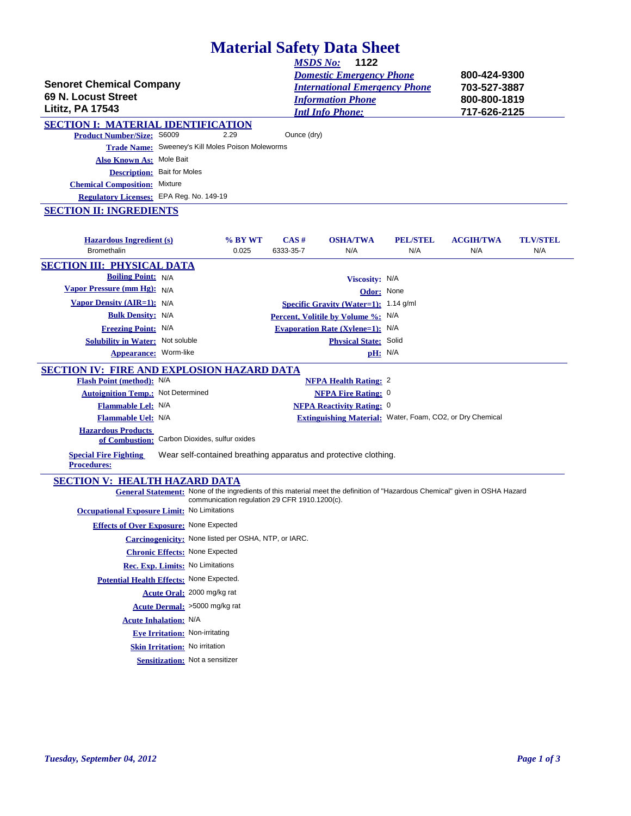# **Material Safety Data Sheet**

| <b>Senoret Chemical Company</b><br>69 N. Locust Street<br><b>Lititz, PA 17543</b>          |                                                                                                                              |         | <u>MSDS No:</u>                               | 1122<br><b>Domestic Emergency Phone</b><br><b>International Emergency Phone</b><br><b>Information Phone</b><br><b>Intl Info Phone:</b> |                 | 800-424-9300<br>703-527-3887<br>800-800-1819<br>717-626-2125 |                 |
|--------------------------------------------------------------------------------------------|------------------------------------------------------------------------------------------------------------------------------|---------|-----------------------------------------------|----------------------------------------------------------------------------------------------------------------------------------------|-----------------|--------------------------------------------------------------|-----------------|
| <b>SECTION I: MATERIAL IDENTIFICATION</b>                                                  |                                                                                                                              |         |                                               |                                                                                                                                        |                 |                                                              |                 |
| <b>Product Number/Size: S6009</b>                                                          |                                                                                                                              | 2.29    | Ounce (dry)                                   |                                                                                                                                        |                 |                                                              |                 |
|                                                                                            | Trade Name: Sweeney's Kill Moles Poison Moleworms                                                                            |         |                                               |                                                                                                                                        |                 |                                                              |                 |
| Also Known As: Mole Bait                                                                   |                                                                                                                              |         |                                               |                                                                                                                                        |                 |                                                              |                 |
|                                                                                            | <b>Description: Bait for Moles</b>                                                                                           |         |                                               |                                                                                                                                        |                 |                                                              |                 |
| <b>Chemical Composition:</b> Mixture<br>Regulatory Licenses: EPA Reg. No. 149-19           |                                                                                                                              |         |                                               |                                                                                                                                        |                 |                                                              |                 |
|                                                                                            |                                                                                                                              |         |                                               |                                                                                                                                        |                 |                                                              |                 |
| <b>SECTION II: INGREDIENTS</b><br><b>Hazardous Ingredient (s)</b>                          |                                                                                                                              | % BY WT | $CAS \#$                                      | <b>OSHA/TWA</b>                                                                                                                        | <b>PEL/STEL</b> | <b>ACGIH/TWA</b>                                             | <b>TLV/STEL</b> |
| <b>Bromethalin</b>                                                                         |                                                                                                                              | 0.025   | 6333-35-7                                     | N/A                                                                                                                                    | N/A             | N/A                                                          | N/A             |
| <b>SECTION III: PHYSICAL DATA</b>                                                          |                                                                                                                              |         |                                               |                                                                                                                                        |                 |                                                              |                 |
| <b>Boiling Point:</b> N/A                                                                  |                                                                                                                              |         |                                               | Viscosity: N/A                                                                                                                         |                 |                                                              |                 |
| Vapor Pressure (mm Hg): N/A                                                                |                                                                                                                              |         |                                               | Odor: None                                                                                                                             |                 |                                                              |                 |
| <b>Vapor Density (AIR=1):</b> N/A                                                          |                                                                                                                              |         |                                               | Specific Gravity (Water=1): 1.14 g/ml                                                                                                  |                 |                                                              |                 |
| <b>Bulk Density: N/A</b>                                                                   |                                                                                                                              |         |                                               | Percent, Volitile by Volume %: N/A                                                                                                     |                 |                                                              |                 |
| <b>Freezing Point: N/A</b>                                                                 |                                                                                                                              |         |                                               | <b>Evaporation Rate (Xylene=1):</b> N/A                                                                                                |                 |                                                              |                 |
| <b>Solubility in Water:</b> Not soluble                                                    |                                                                                                                              |         |                                               | <b>Physical State: Solid</b>                                                                                                           |                 |                                                              |                 |
| Appearance: Worm-like                                                                      |                                                                                                                              |         |                                               | pH: N/A                                                                                                                                |                 |                                                              |                 |
| <b>SECTION IV: FIRE AND EXPLOSION HAZARD DATA</b>                                          |                                                                                                                              |         |                                               |                                                                                                                                        |                 |                                                              |                 |
| Flash Point (method): N/A                                                                  |                                                                                                                              |         |                                               | <b>NFPA Health Rating: 2</b>                                                                                                           |                 |                                                              |                 |
| <b>Autoignition Temp.:</b> Not Determined                                                  |                                                                                                                              |         |                                               | <b>NFPA Fire Rating: 0</b>                                                                                                             |                 |                                                              |                 |
| Flammable Lel: N/A                                                                         |                                                                                                                              |         |                                               | <b>NFPA Reactivity Rating: 0</b>                                                                                                       |                 |                                                              |                 |
| Flammable Uel: N/A                                                                         |                                                                                                                              |         |                                               | Extinguishing Material: Water, Foam, CO2, or Dry Chemical                                                                              |                 |                                                              |                 |
| <b>Hazardous Products</b>                                                                  | of Combustion: Carbon Dioxides, sulfur oxides                                                                                |         |                                               |                                                                                                                                        |                 |                                                              |                 |
| <b>Special Fire Fighting</b><br><b>Procedures:</b>                                         | Wear self-contained breathing apparatus and protective clothing.                                                             |         |                                               |                                                                                                                                        |                 |                                                              |                 |
| <b>SECTION V: HEALTH HAZARD DATA</b><br><b>Occupational Exposure Limit:</b> No Limitations | General Statement: None of the ingredients of this material meet the definition of "Hazardous Chemical" given in OSHA Hazard |         | communication regulation 29 CFR 1910.1200(c). |                                                                                                                                        |                 |                                                              |                 |
|                                                                                            | <b>Effects of Over Exposure:</b> None Expected                                                                               |         |                                               |                                                                                                                                        |                 |                                                              |                 |
|                                                                                            | Carcinogenicity: None listed per OSHA, NTP, or IARC.                                                                         |         |                                               |                                                                                                                                        |                 |                                                              |                 |
|                                                                                            | <b>Chronic Effects: None Expected</b>                                                                                        |         |                                               |                                                                                                                                        |                 |                                                              |                 |
|                                                                                            | Rec. Exp. Limits: No Limitations                                                                                             |         |                                               |                                                                                                                                        |                 |                                                              |                 |
|                                                                                            | Potential Health Effects: None Expected.                                                                                     |         |                                               |                                                                                                                                        |                 |                                                              |                 |
|                                                                                            | Acute Oral: 2000 mg/kg rat                                                                                                   |         |                                               |                                                                                                                                        |                 |                                                              |                 |
|                                                                                            | Acute Dermal: >5000 mg/kg rat                                                                                                |         |                                               |                                                                                                                                        |                 |                                                              |                 |
|                                                                                            | <b>Acute Inhalation: N/A</b>                                                                                                 |         |                                               |                                                                                                                                        |                 |                                                              |                 |
|                                                                                            |                                                                                                                              |         |                                               |                                                                                                                                        |                 |                                                              |                 |
|                                                                                            | <b>Eve Irritation: Non-irritating</b>                                                                                        |         |                                               |                                                                                                                                        |                 |                                                              |                 |
|                                                                                            | Skin Irritation: No irritation                                                                                               |         |                                               |                                                                                                                                        |                 |                                                              |                 |
|                                                                                            | <b>Sensitization:</b> Not a sensitizer                                                                                       |         |                                               |                                                                                                                                        |                 |                                                              |                 |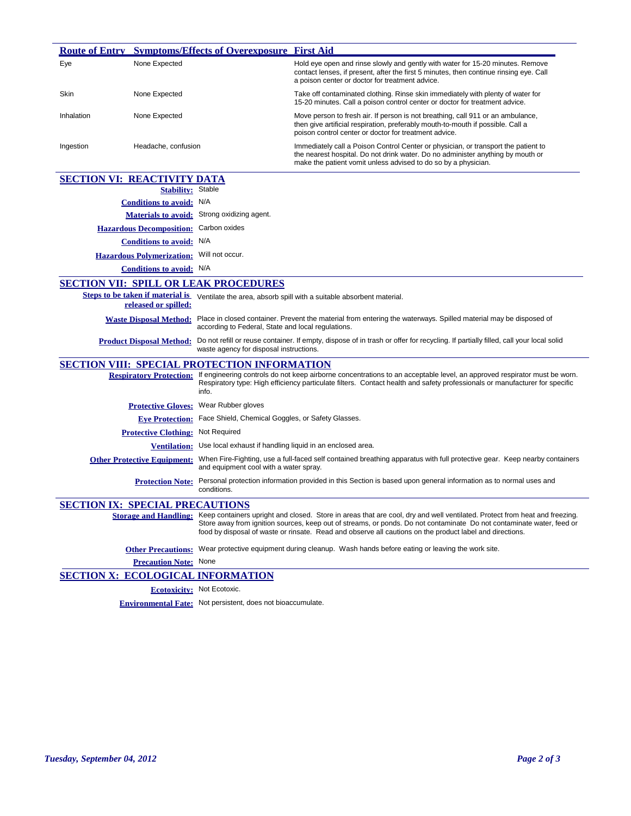|            |                                                  | <b>Route of Entry Symptoms/Effects of Overexposure First Aid</b>                                                                                                       |                                                                                                                                                                                                                                                                                                                                                                                       |
|------------|--------------------------------------------------|------------------------------------------------------------------------------------------------------------------------------------------------------------------------|---------------------------------------------------------------------------------------------------------------------------------------------------------------------------------------------------------------------------------------------------------------------------------------------------------------------------------------------------------------------------------------|
| Eye        | None Expected                                    |                                                                                                                                                                        | Hold eye open and rinse slowly and gently with water for 15-20 minutes. Remove<br>contact lenses, if present, after the first 5 minutes, then continue rinsing eye. Call<br>a poison center or doctor for treatment advice.                                                                                                                                                           |
| Skin       | None Expected                                    |                                                                                                                                                                        | Take off contaminated clothing. Rinse skin immediately with plenty of water for<br>15-20 minutes. Call a poison control center or doctor for treatment advice.                                                                                                                                                                                                                        |
| Inhalation | None Expected                                    |                                                                                                                                                                        | Move person to fresh air. If person is not breathing, call 911 or an ambulance,<br>then give artificial respiration, preferably mouth-to-mouth if possible. Call a<br>poison control center or doctor for treatment advice.                                                                                                                                                           |
| Ingestion  | Headache, confusion                              |                                                                                                                                                                        | Immediately call a Poison Control Center or physician, or transport the patient to<br>the nearest hospital. Do not drink water. Do no administer anything by mouth or<br>make the patient vomit unless advised to do so by a physician.                                                                                                                                               |
|            | <b>SECTION VI: REACTIVITY DATA</b>               |                                                                                                                                                                        |                                                                                                                                                                                                                                                                                                                                                                                       |
|            | <b>Stability:</b> Stable                         |                                                                                                                                                                        |                                                                                                                                                                                                                                                                                                                                                                                       |
|            | <b>Conditions to avoid:</b> N/A                  |                                                                                                                                                                        |                                                                                                                                                                                                                                                                                                                                                                                       |
|            |                                                  | Materials to avoid: Strong oxidizing agent.                                                                                                                            |                                                                                                                                                                                                                                                                                                                                                                                       |
|            | Hazardous Decomposition: Carbon oxides           |                                                                                                                                                                        |                                                                                                                                                                                                                                                                                                                                                                                       |
|            | Conditions to avoid: N/A                         |                                                                                                                                                                        |                                                                                                                                                                                                                                                                                                                                                                                       |
|            | <b>Hazardous Polymerization:</b> Will not occur. |                                                                                                                                                                        |                                                                                                                                                                                                                                                                                                                                                                                       |
|            | <b>Conditions to avoid:</b> N/A                  |                                                                                                                                                                        |                                                                                                                                                                                                                                                                                                                                                                                       |
|            |                                                  | <b>SECTION VII: SPILL OR LEAK PROCEDURES</b>                                                                                                                           |                                                                                                                                                                                                                                                                                                                                                                                       |
|            | released or spilled:                             |                                                                                                                                                                        | Steps to be taken if material is Ventilate the area, absorb spill with a suitable absorbent material.                                                                                                                                                                                                                                                                                 |
|            | <b>Waste Disposal Method:</b>                    | Place in closed container. Prevent the material from entering the waterways. Spilled material may be disposed of<br>according to Federal, State and local regulations. |                                                                                                                                                                                                                                                                                                                                                                                       |
|            | <b>Product Disposal Method:</b>                  | waste agency for disposal instructions.                                                                                                                                | Do not refill or reuse container. If empty, dispose of in trash or offer for recycling. If partially filled, call your local solid                                                                                                                                                                                                                                                    |
|            |                                                  | <b>SECTION VIII: SPECIAL PROTECTION INFORMATION</b>                                                                                                                    |                                                                                                                                                                                                                                                                                                                                                                                       |
|            |                                                  | info.                                                                                                                                                                  | Respiratory Protection: If engineering controls do not keep airborne concentrations to an acceptable level, an approved respirator must be worn.<br>Respiratory type: High efficiency particulate filters. Contact health and safety professionals or manufacturer for specific                                                                                                       |
|            | <b>Protective Gloves:</b>                        | Wear Rubber gloves                                                                                                                                                     |                                                                                                                                                                                                                                                                                                                                                                                       |
|            |                                                  | Eve Protection: Face Shield, Chemical Goggles, or Safety Glasses.                                                                                                      |                                                                                                                                                                                                                                                                                                                                                                                       |
|            | <b>Protective Clothing: Not Required</b>         |                                                                                                                                                                        |                                                                                                                                                                                                                                                                                                                                                                                       |
|            |                                                  | Ventilation: Use local exhaust if handling liquid in an enclosed area.                                                                                                 |                                                                                                                                                                                                                                                                                                                                                                                       |
|            | <b>Other Protective Equipment:</b>               | and equipment cool with a water spray.                                                                                                                                 | When Fire-Fighting, use a full-faced self contained breathing apparatus with full protective gear. Keep nearby containers                                                                                                                                                                                                                                                             |
|            | <b>Protection Note:</b>                          | conditions.                                                                                                                                                            | Personal protection information provided in this Section is based upon general information as to normal uses and                                                                                                                                                                                                                                                                      |
|            | <b>SECTION IX: SPECIAL PRECAUTIONS</b>           |                                                                                                                                                                        |                                                                                                                                                                                                                                                                                                                                                                                       |
|            |                                                  |                                                                                                                                                                        | Storage and Handling: Keep containers upright and closed. Store in areas that are cool, dry and well ventilated. Protect from heat and freezing.<br>Store away from ignition sources, keep out of streams, or ponds. Do not contaminate Do not contaminate water, feed or<br>food by disposal of waste or rinsate. Read and observe all cautions on the product label and directions. |
|            |                                                  |                                                                                                                                                                        | Other Precautions: Wear protective equipment during cleanup. Wash hands before eating or leaving the work site.                                                                                                                                                                                                                                                                       |
|            | <b>Precaution Note:</b> None                     |                                                                                                                                                                        |                                                                                                                                                                                                                                                                                                                                                                                       |
|            |                                                  | <b>SECTION X: ECOLOGICAL INFORMATION</b>                                                                                                                               |                                                                                                                                                                                                                                                                                                                                                                                       |
|            |                                                  | <b>Ecotoxicity:</b> Not Ecotoxic.                                                                                                                                      |                                                                                                                                                                                                                                                                                                                                                                                       |
|            |                                                  |                                                                                                                                                                        |                                                                                                                                                                                                                                                                                                                                                                                       |

**Environmental Fate:** Not persistent, does not bioaccumulate.